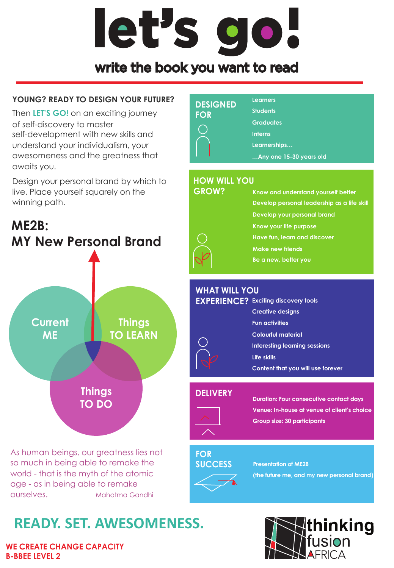# let's go!

### write the book you want to read

#### **YOUNG? READY TO DESIGN YOUR FUTURE?**

Then **LET'S GO!** on an exciting journey of self-discovery to master self-development with new skills and understand your individualism, your awesomeness and the greatness that awaits you.

Design your personal brand by which to live. Place yourself squarely on the winning path.



As human beings, our greatness lies not so much in being able to remake the world - that is the myth of the atomic age - as in being able to remake ourselves. Mahatma Gandhi

# **READY. SET. AWESOMENESS.**

**WE CREATE CHANGE CAPACITY B-BBEE LEVEL 2** 

#### **Learners DESIGNED Students FOR Graduates**  $(\ )$ **Interns Learnerships… …Any one 15-30 years old**

#### **HOW WILL YOU**

# **GROW?**

**Know and understand yourself better Develop personal leadership as a life skill Develop your personal brand Know your life purpose Have fun, learn and discover Make new friends Be a new, better you**

#### **WHAT WILL YOU**

| <b>EXPERIENCE?</b> Exciting discovery tools |
|---------------------------------------------|
| <b>Creative designs</b>                     |
| <b>Fun activities</b>                       |
| <b>Colourful material</b>                   |
| Interesting learning sessions               |
| Life skills                                 |
| Content that you will use forever           |
|                                             |

#### **DELIVERY**



**Duration: Four consecutive contact days Venue: In-house at venue of client's choice Group size: 30 participants**

#### **FOR SUCCESS**

**Presentation of ME2B** 

**(the future me, and my new personal brand)**